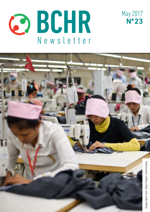



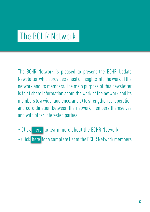## The BCHR Network

The BCHR Network is pleased to present the BCHR Update Newsletter, which provides a host of insights into the work of the network and its members. The main purpose of this newsletter is to a) share information about the work of the network and its members to a wider audience, and b) to strengthen co-operation and co-ordination between the network members themselves and with other interested parties.

- Click [here](http://www.networkbchr.org/) to learn more about the BCHR Network.
- Click [here](http://www.networkbchr.org/#!join-the-network/c24vq) for a complete list of the BCHR Network members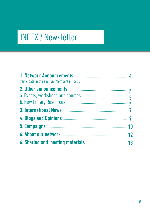# INDEX / Newsletter

| Participate in the section "Members in focus" |  |
|-----------------------------------------------|--|
|                                               |  |
|                                               |  |
|                                               |  |
|                                               |  |
|                                               |  |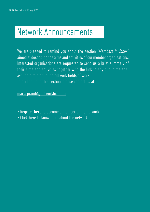## Network Announcements

We are pleased to remind you about the section "Members in focus" aimed at describing the aims and activities of our member organisations. Interested organisations are requested to send us a brief summary of their aims and activities together with the link to any public material available related to the network fields of work. To contribute to this section, please contact us at:

[maria.prandi@networkbchr.org](mailto:maria.prandi%40networkbchr.org?subject=BCHR%20Newsletter)

- Register **[here](http://www.networkbchr.org/#!join-the-network/c24vq)** to become a member of the network.
- Click [here](http://www.networkbchr.org/#!the-network/cqn6) to know more about the network.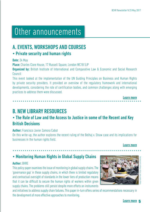## Other announcements

## A. EVENTS, WORKSHOPS AND COURSES • Private security and human rights

#### Date: 24 May

Place: Charles Clore House, 17 Russell Square, London WC1B 5JP

**Organized by:** British Institute of International and Comparative Law & Economic and Social Research Council

This event looked at the implementation of the UN Guiding Principles on Business and Human Rights by private security providers. It provided an overview of the regulatory framework and international developments, considering the role of certification bodies, and common challenges along with emerging practices to address them were discussed.

[Learn more](http://www.biicl.org/privatesecurity)

## B. NEW LIBRARY RESOURCES

### • The Rule of Law and the Access to Justice in some of the Recent and Key British Decisions

#### Author: Francisco Javier Zamora Cabot

On this write-up, the author explores the recent ruling of the Belhaj v. Straw case and its implications for businesses in the human rights field.

#### [Learn more](https://tinyurl.com/mrahh4u)

### • Monitoring Human Rights in Global Supply Chains

#### Author: BHRE

This policy paper examines the issue of monitoring in global supply chains. The 'governance gap' in these supply chains, in which there is limited regulatory and contractual oversight of standards in the lower tiers of production means that it can be difficult to secure the human rights of workers within given supply chains. The problems still persist despite more efforts on instruments

and initiatives to address supply chain failures. This paper in-turn offers series of recommendations necessary in the development of more effective approaches to monitoring.

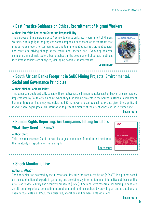## • Best Practice Guidance on Ethical Recruitment of Migrant Workers

#### Author: Interfaith Center on Corporate Responsibility

The purpose of this emerging Best Practice Guidance on Ethical Recruitment of Migrant Workers is to highlight the progress some companies have made on these fronts that may serve as models for companies looking to implement ethical recruitment policies and contribute driving change at the recruitment agency level. Examining selected companies in high risk sectors, best practices in the development of corporate ethical recruitment policies are analysed, identifying possible improvements.



[Learn more](https://tinyurl.com/lu29bvn)

## • South African Banks Footprint in SADC Mining Projects: Environmental, Social and Governance Principles

#### Author: Michael Abinare Milazi

This paper sets out to critically consider the effectiveness of Environmental, social and governance principles implemented by South Africa's banks when they fund mining projects in the Southern African Development Community region. The study evaluates the ESG frameworks used by each bank and, given the significant market share, aggregates this information to present a picture of the effectiveness of these frameworks.

[Learn more](https://tinyurl.com/k49cet7)

## • Human Rights Reporting: Are Companies Telling Investors What They Need To Know?

#### Author: Shift

This research assesses 74 of the world's largest companies from different sectors on their maturity in reporting on human rights.

[Learn more](https://tinyurl.com/l3d2g7y)



• Shock Monitor is Live

#### Authors: NOVACT

The Shock Monitor, powered by the International Institute for Nonviolent Action (NOVACT) is a project based on the coordination of experts in gathering and providing key information in an interactive database on the affairs of Private Military and Security Companies (PMSC). A collaborative research tool aiming to generate an all-round experience connecting international and field researchers by providing an online databank to share factual data on PMSCs, their clientele, operations and human rights violations.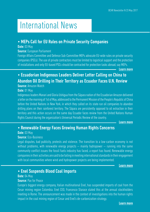## International News

### • MEPs Call for EU Rules on Private Security Companies

#### Date: 03 May

#### Source: European Parliament

Foreign Affairs Committee and Defence Sub-Committee MEPs advocate EU-wide rules on private security companies (PSCs). The use of private contractors must be limited to logistical support and the protection of installations and only EU-based PSCs should be contracted for protection tasks abroad, say MEPs.

[Learn more](https://tinyurl.com/kq8s4mj)

## • Ecuadorian Indigenous Leaders Deliver Letter Calling on China to Abandon Oil Drilling in Their Territory as Ecuador Faces U.N. Review

#### Source: Amazon Watch

#### Date: 01 May

Indigenous leaders Manari and Gloria Ushigua from the Sápara nation of the Ecuadorian Amazon delivered a letter on the morning of 1st of May, addressed to the Permanent Mission of the People's Republic of China before the United Nations in New York, in which they called on its state-run oil companies to abandon drilling plans on their rainforest territory. The Sápara are persistently opposed to oil extraction in their territory and this action occurs on the same day Ecuador faces review from the United Nations Human Rights Council during the organization's Universal Periodic Review of the country.

[Learn more](https://tinyurl.com/l3lu9xb)

### • Renewable Energy Faces Growing Human Rights Concerns

#### Date: 03 May

#### Source: Eco-Business

Legal disputes, bad publicity, protests and violence. The transition to a low-carbon economy is not without problems, with renewable energy projects — mainly hydropower — running into the same community conflict issues the fossil fuels industry has faced, a report has found. Renewable energy companies in their activities are said to be failing in meeting international standards in their engagement with local communities where wind and hydropower projects are being implemented.

[Learn more](https://tinyurl.com/lth56uj)

### • Enel Suspends Blood Coal Imports

#### Date: 04 May

#### Source: Pax for Peace

Europe's biggest energy company, Italian multinational Enel, has suspended imports of coal from the Cesar mining region Colombia. Enel CEO, Francesco Starace stated this at the annual stockholders meeting in Rome. The announcement was made in the context of investigations into the human rights impact in the coal mining region of Cesar and Enel's de-carbonization strategy.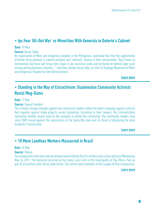### • Ips Fear 'All-Out War' vs Minorities With Generals in Duterte's Cabinet

#### Date: 19 May

#### Source: Davao Today

An organization of Moro and indigenous peoples in the Philippines, expressed fear that the appointment of former Army generals in cabinet positions will "intensify" attacks in their communities. "Roy Cimatu as Environment Secretary will bring more chaos in our ancestral lands and territories to defend large scale mining and big business interests…'" said Datu Jerome Succor Aba, co-chair of Sandugo Movement of Moro and Indigenous Peoples for Self-Determination.

[Learn more](https://tinyurl.com/k4zgbj7)

### • Standing in the Way of Extractivism: Guatemalan Community Activists Resist Meg-Dams

#### Date: 17 May

#### **Source: Toward Freedom**

The criminal charges brought against two community leaders reflect the wider campaign against activists that organize against mega-projects across Guatemala. According to their lawyers, the criminalization represents another means used by the company to divide the community. The community leaders have since 2009 moved against the construction of the Santa Rita dam over its threat of displacing the local residents if constructed.

[Learn more](https://tinyurl.com/y7wvubfy)

### • 10 More Landless Workers Massacred in Brazil

#### Date: 26 May

#### Source: Telesur

Ten campesinos (nine men and one woman) were killed by Brazil's military and civilian police on Wednesday May 24, 2017. The massacre occurred on the Santa Lucia farm in the municipality of Pau D'Arco, Para as part of an eviction order led by state forces. The victims were members of the League of Poor Campesinos.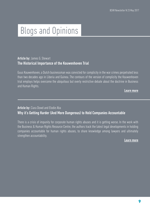# Blogs and Opinions

#### Article by: James G. Stewart The Historical Importance of the Kouwenhoven Trial

Guus Kouwenhoven, a Dutch businessman was convicted for complicity in the war crimes perpetrated less than two decades ago in Liberia and Guinea. The contours of the version of complicity the Kouwenhoven trial employs helps overcome the ubiquitous but overly restrictive debate about the doctrine in Business and Human Rights.

[Learn more](https://tinyurl.com/lexp9ce)

#### Article by: Ciara Dowd and Elodie Aba Why it's Getting Harder (And More Dangerous) to Hold Companies Accountable

There is a crisis of impunity for corporate human rights abuses and it is getting worse. In the work with the Business & Human Rights Resource Centre, the authors track the latest legal developments in holding companies accountable for human rights abuses, to share knowledge among lawyers and ultimately strengthen accountability.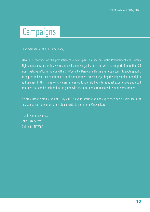## Campaigns

Dear members of the BCHR network,

NOVACT is coordinating the production of a new Spanish guide on Public Procurement and Human Rights in cooperation with lawyers and civil society organizations,and with the support of more than 20 municipalities in Spain, including the City Council of Barcelona. This is a key opportunity to apply specific principles and contract conditions in public procurement process regarding the respect of human rights by business. In this framework, we are interested to identify key international experiences and good practices that can be included in the guide with the aim to ensure responsible public procurement.

We are currently producing until July 2017, so your information and experience can be very useful at this stage. For more information please write to me at [felip@novact.org.](mailto:felip%40novact.org?subject=)

Thank-you in advance, Felip Daza Sierra Codirector NOVACT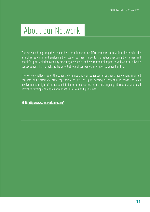## About our Network

The Network brings together researchers, practitioners and NGO members from various fields with the aim of researching and analysing the role of business in conflict situations reducing the human and people's rights violations and any other negative social and environmental impact as well as other adverse consequences. It also looks at the potential role of companies in relation to peace building.

The Network reflects upon the causes, dynamics and consequences of business involvement in armed conflicts and systematic state repression, as well as upon existing or potential responses to such involvements in light of the responsibilities of all concerned actors and ongoing international and local efforts to develop and apply appropriate initiatives and guidelines.

Visit: <http://www.networkbchr.org/>